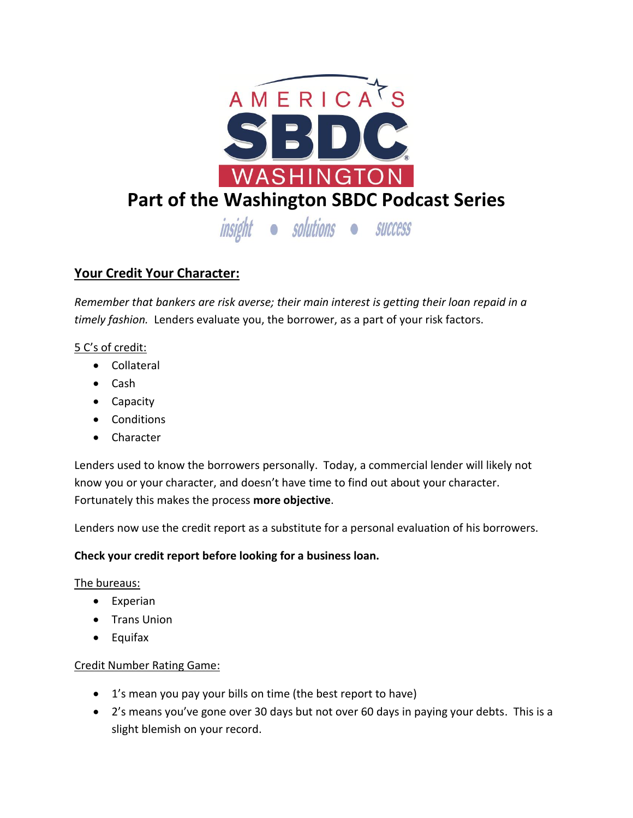

# **Your Credit Your Character:**

*Remember that bankers are risk averse; their main interest is getting their loan repaid in a timely fashion.* Lenders evaluate you, the borrower, as a part of your risk factors.

## 5 C's of credit:

- Collateral
- Cash
- Capacity
- Conditions
- **•** Character

Lenders used to know the borrowers personally. Today, a commercial lender will likely not know you or your character, and doesn't have time to find out about your character. Fortunately this makes the process **more objective**.

Lenders now use the credit report as a substitute for a personal evaluation of his borrowers.

### **Check your credit report before looking for a business loan.**

### The bureaus:

- Experian
- Trans Union
- Equifax

### Credit Number Rating Game:

- 1's mean you pay your bills on time (the best report to have)
- 2's means you've gone over 30 days but not over 60 days in paying your debts. This is a slight blemish on your record.